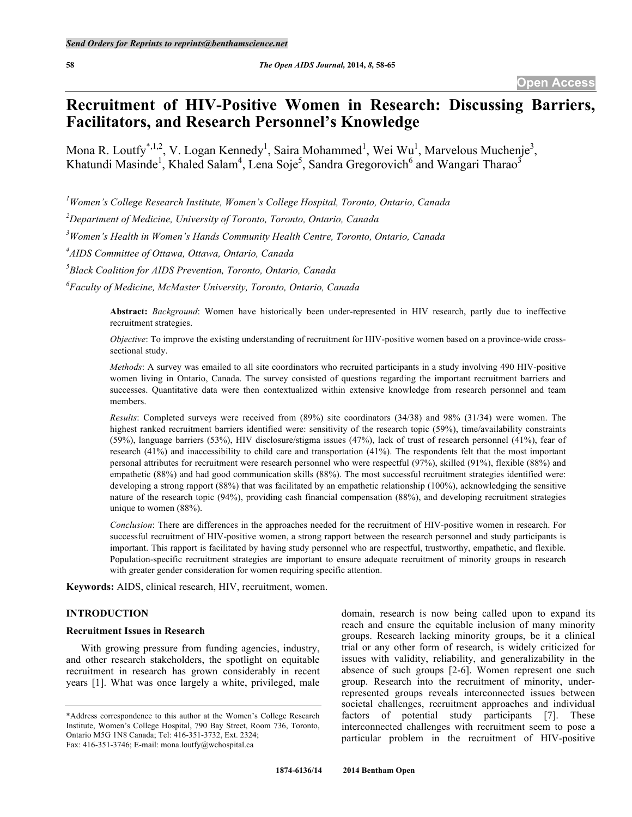# **Recruitment of HIV-Positive Women in Research: Discussing Barriers, Facilitators, and Research Personnel's Knowledge**

Mona R. Loutfy<sup>\*,1,2</sup>, V. Logan Kennedy<sup>1</sup>, Saira Mohammed<sup>1</sup>, Wei Wu<sup>1</sup>, Marvelous Muchenje<sup>3</sup>, Khatundi Masinde<sup>1</sup>, Khaled Salam<sup>4</sup>, Lena Soje<sup>5</sup>, Sandra Gregorovich<sup>6</sup> and Wangari Tharao<sup>3</sup>

*1 Women's College Research Institute, Women's College Hospital, Toronto, Ontario, Canada*

*2 Department of Medicine, University of Toronto, Toronto, Ontario, Canada*

*3 Women's Health in Women's Hands Community Health Centre, Toronto, Ontario, Canada*

*4 AIDS Committee of Ottawa, Ottawa, Ontario, Canada*

*5 Black Coalition for AIDS Prevention, Toronto, Ontario, Canada*

*6 Faculty of Medicine, McMaster University, Toronto, Ontario, Canada*

**Abstract:** *Background*: Women have historically been under-represented in HIV research, partly due to ineffective recruitment strategies.

*Objective*: To improve the existing understanding of recruitment for HIV-positive women based on a province-wide crosssectional study.

*Methods*: A survey was emailed to all site coordinators who recruited participants in a study involving 490 HIV-positive women living in Ontario, Canada. The survey consisted of questions regarding the important recruitment barriers and successes. Quantitative data were then contextualized within extensive knowledge from research personnel and team members.

*Results*: Completed surveys were received from (89%) site coordinators (34/38) and 98% (31/34) were women. The highest ranked recruitment barriers identified were: sensitivity of the research topic (59%), time/availability constraints (59%), language barriers (53%), HIV disclosure/stigma issues (47%), lack of trust of research personnel (41%), fear of research (41%) and inaccessibility to child care and transportation (41%). The respondents felt that the most important personal attributes for recruitment were research personnel who were respectful (97%), skilled (91%), flexible (88%) and empathetic (88%) and had good communication skills (88%). The most successful recruitment strategies identified were: developing a strong rapport (88%) that was facilitated by an empathetic relationship (100%), acknowledging the sensitive nature of the research topic (94%), providing cash financial compensation (88%), and developing recruitment strategies unique to women (88%).

*Conclusion*: There are differences in the approaches needed for the recruitment of HIV-positive women in research. For successful recruitment of HIV-positive women, a strong rapport between the research personnel and study participants is important. This rapport is facilitated by having study personnel who are respectful, trustworthy, empathetic, and flexible. Population-specific recruitment strategies are important to ensure adequate recruitment of minority groups in research with greater gender consideration for women requiring specific attention.

**Keywords:** AIDS, clinical research, HIV, recruitment, women.

## **INTRODUCTION**

#### **Recruitment Issues in Research**

With growing pressure from funding agencies, industry, and other research stakeholders, the spotlight on equitable recruitment in research has grown considerably in recent years [1]. What was once largely a white, privileged, male

domain, research is now being called upon to expand its reach and ensure the equitable inclusion of many minority groups. Research lacking minority groups, be it a clinical trial or any other form of research, is widely criticized for issues with validity, reliability, and generalizability in the absence of such groups [2-6]. Women represent one such group. Research into the recruitment of minority, underrepresented groups reveals interconnected issues between societal challenges, recruitment approaches and individual factors of potential study participants [7]. These interconnected challenges with recruitment seem to pose a particular problem in the recruitment of HIV-positive

<sup>\*</sup>Address correspondence to this author at the Women's College Research Institute, Women's College Hospital, 790 Bay Street, Room 736, Toronto, Ontario M5G 1N8 Canada; Tel: 416-351-3732, Ext. 2324; Fax: 416-351-3746; E-mail: mona.loutfy@wchospital.ca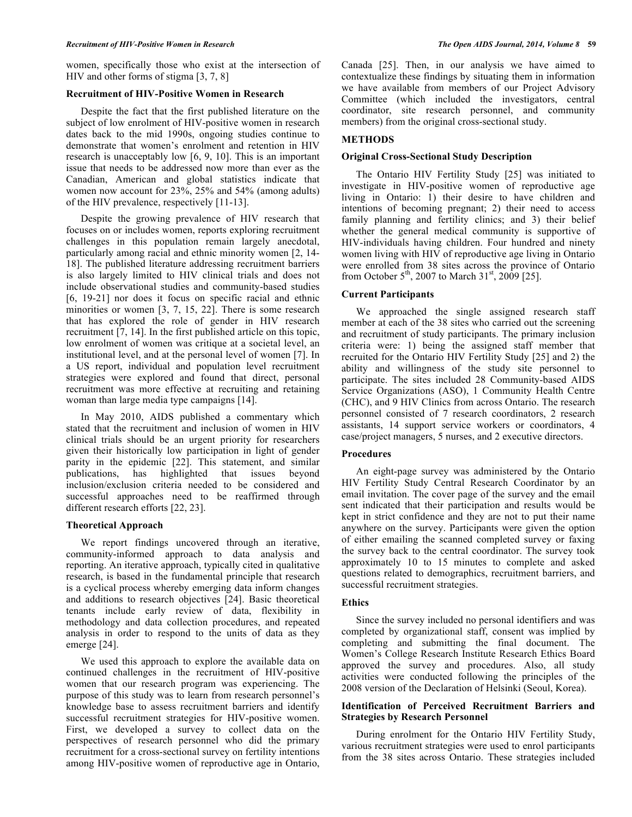women, specifically those who exist at the intersection of HIV and other forms of stigma [3, 7, 8]

#### **Recruitment of HIV-Positive Women in Research**

Despite the fact that the first published literature on the subject of low enrolment of HIV-positive women in research dates back to the mid 1990s, ongoing studies continue to demonstrate that women's enrolment and retention in HIV research is unacceptably low [6, 9, 10]. This is an important issue that needs to be addressed now more than ever as the Canadian, American and global statistics indicate that women now account for 23%, 25% and 54% (among adults) of the HIV prevalence, respectively [11-13].

Despite the growing prevalence of HIV research that focuses on or includes women, reports exploring recruitment challenges in this population remain largely anecdotal, particularly among racial and ethnic minority women [2, 14- 18]. The published literature addressing recruitment barriers is also largely limited to HIV clinical trials and does not include observational studies and community-based studies [6, 19-21] nor does it focus on specific racial and ethnic minorities or women [3, 7, 15, 22]. There is some research that has explored the role of gender in HIV research recruitment [7, 14]. In the first published article on this topic, low enrolment of women was critique at a societal level, an institutional level, and at the personal level of women [7]. In a US report, individual and population level recruitment strategies were explored and found that direct, personal recruitment was more effective at recruiting and retaining woman than large media type campaigns [14].

In May 2010, AIDS published a commentary which stated that the recruitment and inclusion of women in HIV clinical trials should be an urgent priority for researchers given their historically low participation in light of gender parity in the epidemic [22]. This statement, and similar publications, has highlighted that issues beyond inclusion/exclusion criteria needed to be considered and successful approaches need to be reaffirmed through different research efforts [22, 23].

#### **Theoretical Approach**

We report findings uncovered through an iterative, community-informed approach to data analysis and reporting. An iterative approach, typically cited in qualitative research, is based in the fundamental principle that research is a cyclical process whereby emerging data inform changes and additions to research objectives [24]. Basic theoretical tenants include early review of data, flexibility in methodology and data collection procedures, and repeated analysis in order to respond to the units of data as they emerge [24].

We used this approach to explore the available data on continued challenges in the recruitment of HIV-positive women that our research program was experiencing. The purpose of this study was to learn from research personnel's knowledge base to assess recruitment barriers and identify successful recruitment strategies for HIV-positive women. First, we developed a survey to collect data on the perspectives of research personnel who did the primary recruitment for a cross-sectional survey on fertility intentions among HIV-positive women of reproductive age in Ontario,

Canada [25]. Then, in our analysis we have aimed to contextualize these findings by situating them in information we have available from members of our Project Advisory Committee (which included the investigators, central coordinator, site research personnel, and community members) from the original cross-sectional study.

## **METHODS**

# **Original Cross-Sectional Study Description**

The Ontario HIV Fertility Study [25] was initiated to investigate in HIV-positive women of reproductive age living in Ontario: 1) their desire to have children and intentions of becoming pregnant; 2) their need to access family planning and fertility clinics; and 3) their belief whether the general medical community is supportive of HIV-individuals having children. Four hundred and ninety women living with HIV of reproductive age living in Ontario were enrolled from 38 sites across the province of Ontario from October  $5^{th}$ , 2007 to March  $31^{st}$ , 2009 [25].

## **Current Participants**

We approached the single assigned research staff member at each of the 38 sites who carried out the screening and recruitment of study participants. The primary inclusion criteria were: 1) being the assigned staff member that recruited for the Ontario HIV Fertility Study [25] and 2) the ability and willingness of the study site personnel to participate. The sites included 28 Community-based AIDS Service Organizations (ASO), 1 Community Health Centre (CHC), and 9 HIV Clinics from across Ontario. The research personnel consisted of 7 research coordinators, 2 research assistants, 14 support service workers or coordinators, 4 case/project managers, 5 nurses, and 2 executive directors.

## **Procedures**

An eight-page survey was administered by the Ontario HIV Fertility Study Central Research Coordinator by an email invitation. The cover page of the survey and the email sent indicated that their participation and results would be kept in strict confidence and they are not to put their name anywhere on the survey. Participants were given the option of either emailing the scanned completed survey or faxing the survey back to the central coordinator. The survey took approximately 10 to 15 minutes to complete and asked questions related to demographics, recruitment barriers, and successful recruitment strategies.

#### **Ethics**

Since the survey included no personal identifiers and was completed by organizational staff, consent was implied by completing and submitting the final document. The Women's College Research Institute Research Ethics Board approved the survey and procedures. Also, all study activities were conducted following the principles of the 2008 version of the Declaration of Helsinki (Seoul, Korea).

## **Identification of Perceived Recruitment Barriers and Strategies by Research Personnel**

During enrolment for the Ontario HIV Fertility Study, various recruitment strategies were used to enrol participants from the 38 sites across Ontario. These strategies included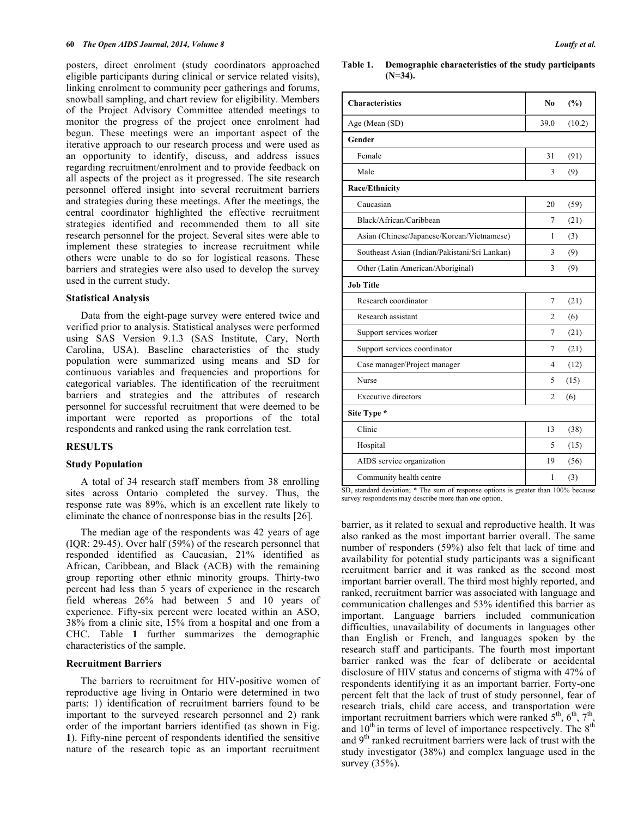posters, direct enrolment (study coordinators approached eligible participants during clinical or service related visits), linking enrolment to community peer gatherings and forums, snowball sampling, and chart review for eligibility. Members of the Project Advisory Committee attended meetings to monitor the progress of the project once enrolment had begun. These meetings were an important aspect of the iterative approach to our research process and were used as an opportunity to identify, discuss, and address issues regarding recruitment/enrolment and to provide feedback on all aspects of the project as it progressed. The site research personnel offered insight into several recruitment barriers and strategies during these meetings. After the meetings, the central coordinator highlighted the effective recruitment strategies identified and recommended them to all site research personnel for the project. Several sites were able to implement these strategies to increase recruitment while others were unable to do so for logistical reasons. These barriers and strategies were also used to develop the survey used in the current study.

#### **Statistical Analysis**

Data from the eight-page survey were entered twice and verified prior to analysis. Statistical analyses were performed using SAS Version 9.1.3 (SAS Institute, Cary, North Carolina, USA). Baseline characteristics of the study population were summarized using means and SD for continuous variables and frequencies and proportions for categorical variables. The identification of the recruitment barriers and strategies and the attributes of research personnel for successful recruitment that were deemed to be important were reported as proportions of the total respondents and ranked using the rank correlation test.

#### **RESULTS**

#### **Study Population**

A total of 34 research staff members from 38 enrolling sites across Ontario completed the survey. Thus, the response rate was 89%, which is an excellent rate likely to eliminate the chance of nonresponse bias in the results [26].

The median age of the respondents was 42 years of age (IQR: 29-45). Over half (59%) of the research personnel that responded identified as Caucasian, 21% identified as African, Caribbean, and Black (ACB) with the remaining group reporting other ethnic minority groups. Thirty-two percent had less than 5 years of experience in the research field whereas 26% had between 5 and 10 years of experience. Fifty-six percent were located within an ASO, 38% from a clinic site, 15% from a hospital and one from a CHC. Table **1** further summarizes the demographic characteristics of the sample.

#### **Recruitment Barriers**

The barriers to recruitment for HIV-positive women of reproductive age living in Ontario were determined in two parts: 1) identification of recruitment barriers found to be important to the surveyed research personnel and 2) rank order of the important barriers identified (as shown in Fig. **1**). Fifty-nine percent of respondents identified the sensitive nature of the research topic as an important recruitment

#### **Table 1. Demographic characteristics of the study participants (N=34).**

| <b>Characteristics</b>                        | N <sub>0</sub> | (%)    |
|-----------------------------------------------|----------------|--------|
| Age (Mean (SD)                                | 39.0           | (10.2) |
| Gender                                        |                |        |
| Female                                        | 31             | (91)   |
| Male                                          | 3              | (9)    |
| Race/Ethnicity                                |                |        |
| Caucasian                                     | 20             | (59)   |
| Black/African/Caribbean                       | 7              | (21)   |
| Asian (Chinese/Japanese/Korean/Vietnamese)    | 1              | (3)    |
| Southeast Asian (Indian/Pakistani/Sri Lankan) | 3              | (9)    |
| Other (Latin American/Aboriginal)             | 3              | (9)    |
| <b>Job Title</b>                              |                |        |
| Research coordinator                          | 7              | (21)   |
| Research assistant                            | 2              | (6)    |
| Support services worker                       | 7              | (21)   |
| Support services coordinator                  | 7              | (21)   |
| Case manager/Project manager                  | 4              | (12)   |
| Nurse                                         | 5              | (15)   |
| <b>Executive directors</b>                    | 2              | (6)    |
| Site Type *                                   |                |        |
| Clinic                                        | 13             | (38)   |
| Hospital                                      | 5              | (15)   |
| AIDS service organization                     | 19             | (56)   |
| Community health centre                       | 1              | (3)    |

SD, standard deviation; \* The sum of response options is greater than 100% because survey respondents may describe more than one option.

barrier, as it related to sexual and reproductive health. It was also ranked as the most important barrier overall. The same number of responders (59%) also felt that lack of time and availability for potential study participants was a significant recruitment barrier and it was ranked as the second most important barrier overall. The third most highly reported, and ranked, recruitment barrier was associated with language and communication challenges and 53% identified this barrier as important. Language barriers included communication difficulties, unavailability of documents in languages other than English or French, and languages spoken by the research staff and participants. The fourth most important barrier ranked was the fear of deliberate or accidental disclosure of HIV status and concerns of stigma with 47% of respondents identifying it as an important barrier. Forty-one percent felt that the lack of trust of study personnel, fear of research trials, child care access, and transportation were important recruitment barriers which were ranked  $5<sup>th</sup>$ ,  $6<sup>th</sup>$ ,  $7<sup>th</sup>$ , and  $10^{th}$  in terms of level of importance respectively. The  $8^{th}$ and 9<sup>th</sup> ranked recruitment barriers were lack of trust with the study investigator (38%) and complex language used in the survey (35%).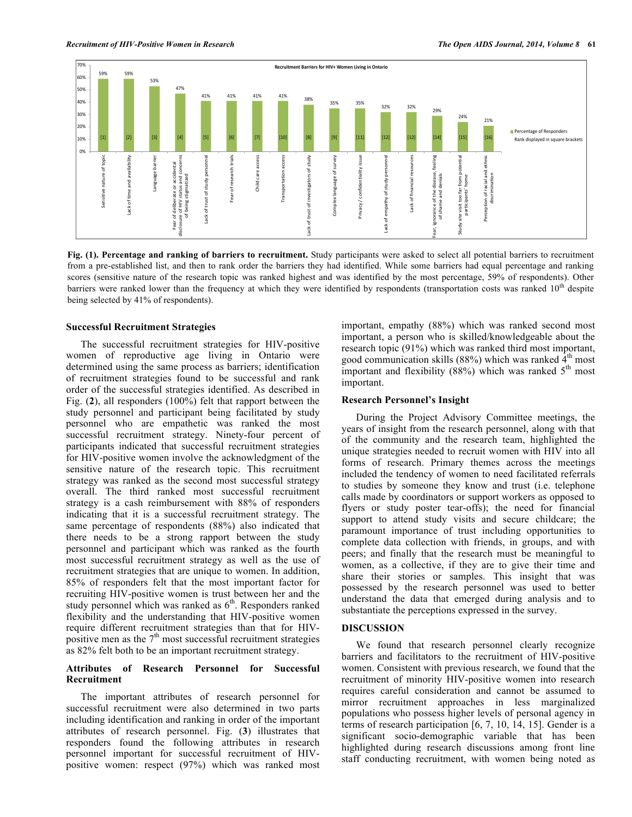

**Fig. (1). Percentage and ranking of barriers to recruitment.** Study participants were asked to select all potential barriers to recruitment from a pre-established list, and then to rank order the barriers they had identified. While some barriers had equal percentage and ranking scores (sensitive nature of the research topic was ranked highest and was identified by the most percentage, 59% of respondents). Other barriers were ranked lower than the frequency at which they were identified by respondents (transportation costs was ranked  $10<sup>th</sup>$  despite being selected by 41% of respondents).

#### **Successful Recruitment Strategies**

The successful recruitment strategies for HIV-positive women of reproductive age living in Ontario were determined using the same process as barriers; identification of recruitment strategies found to be successful and rank order of the successful strategies identified. As described in Fig. (**2**), all responders (100%) felt that rapport between the study personnel and participant being facilitated by study personnel who are empathetic was ranked the most successful recruitment strategy. Ninety-four percent of participants indicated that successful recruitment strategies for HIV-positive women involve the acknowledgment of the sensitive nature of the research topic. This recruitment strategy was ranked as the second most successful strategy overall. The third ranked most successful recruitment strategy is a cash reimbursement with 88% of responders indicating that it is a successful recruitment strategy. The same percentage of respondents (88%) also indicated that there needs to be a strong rapport between the study personnel and participant which was ranked as the fourth most successful recruitment strategy as well as the use of recruitment strategies that are unique to women. In addition, 85% of responders felt that the most important factor for recruiting HIV-positive women is trust between her and the study personnel which was ranked as  $6<sup>th</sup>$ . Responders ranked flexibility and the understanding that HIV-positive women require different recruitment strategies than that for HIVpositive men as the  $7<sup>th</sup>$  most successful recruitment strategies as 82% felt both to be an important recruitment strategy.

## **Attributes of Research Personnel for Successful Recruitment**

The important attributes of research personnel for successful recruitment were also determined in two parts including identification and ranking in order of the important attributes of research personnel. Fig. (**3**) illustrates that responders found the following attributes in research personnel important for successful recruitment of HIVpositive women: respect (97%) which was ranked most

important, empathy (88%) which was ranked second most important, a person who is skilled/knowledgeable about the research topic (91%) which was ranked third most important, good communication skills (88%) which was ranked  $4<sup>th</sup>$  most important and flexibility (88%) which was ranked  $5<sup>th</sup>$  most important.

#### **Research Personnel's Insight**

During the Project Advisory Committee meetings, the years of insight from the research personnel, along with that of the community and the research team, highlighted the unique strategies needed to recruit women with HIV into all forms of research. Primary themes across the meetings included the tendency of women to need facilitated referrals to studies by someone they know and trust (i.e. telephone calls made by coordinators or support workers as opposed to flyers or study poster tear-offs); the need for financial support to attend study visits and secure childcare; the paramount importance of trust including opportunities to complete data collection with friends, in groups, and with peers; and finally that the research must be meaningful to women, as a collective, if they are to give their time and share their stories or samples. This insight that was possessed by the research personnel was used to better understand the data that emerged during analysis and to substantiate the perceptions expressed in the survey.

#### **DISCUSSION**

We found that research personnel clearly recognize barriers and facilitators to the recruitment of HIV-positive women. Consistent with previous research, we found that the recruitment of minority HIV-positive women into research requires careful consideration and cannot be assumed to mirror recruitment approaches in less marginalized populations who possess higher levels of personal agency in terms of research participation [6, 7, 10, 14, 15]. Gender is a significant socio-demographic variable that has been highlighted during research discussions among front line staff conducting recruitment, with women being noted as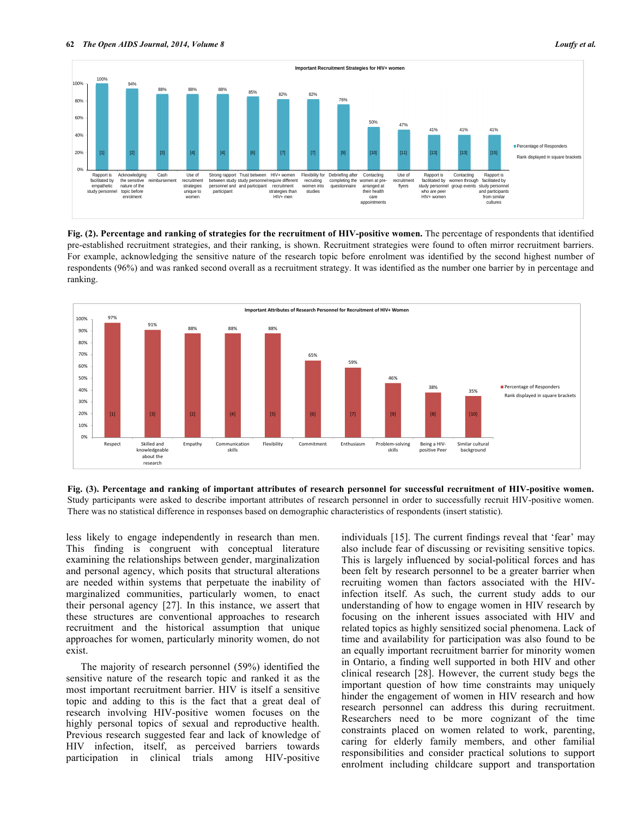

**Fig. (2). Percentage and ranking of strategies for the recruitment of HIV-positive women.** The percentage of respondents that identified pre-established recruitment strategies, and their ranking, is shown. Recruitment strategies were found to often mirror recruitment barriers. For example, acknowledging the sensitive nature of the research topic before enrolment was identified by the second highest number of respondents (96%) and was ranked second overall as a recruitment strategy. It was identified as the number one barrier by in percentage and ranking.



**Fig. (3). Percentage and ranking of important attributes of research personnel for successful recruitment of HIV-positive women.** Study participants were asked to describe important attributes of research personnel in order to successfully recruit HIV-positive women. There was no statistical difference in responses based on demographic characteristics of respondents (insert statistic).

less likely to engage independently in research than men. This finding is congruent with conceptual literature examining the relationships between gender, marginalization and personal agency, which posits that structural alterations are needed within systems that perpetuate the inability of marginalized communities, particularly women, to enact their personal agency [27]. In this instance, we assert that these structures are conventional approaches to research recruitment and the historical assumption that unique approaches for women, particularly minority women, do not exist.

The majority of research personnel (59%) identified the sensitive nature of the research topic and ranked it as the most important recruitment barrier. HIV is itself a sensitive topic and adding to this is the fact that a great deal of research involving HIV-positive women focuses on the highly personal topics of sexual and reproductive health. Previous research suggested fear and lack of knowledge of HIV infection, itself, as perceived barriers towards participation in clinical trials among HIV-positive

individuals [15]. The current findings reveal that 'fear' may also include fear of discussing or revisiting sensitive topics. This is largely influenced by social-political forces and has been felt by research personnel to be a greater barrier when recruiting women than factors associated with the HIVinfection itself. As such, the current study adds to our understanding of how to engage women in HIV research by focusing on the inherent issues associated with HIV and related topics as highly sensitized social phenomena. Lack of time and availability for participation was also found to be an equally important recruitment barrier for minority women in Ontario, a finding well supported in both HIV and other clinical research [28]. However, the current study begs the important question of how time constraints may uniquely hinder the engagement of women in HIV research and how research personnel can address this during recruitment. Researchers need to be more cognizant of the time constraints placed on women related to work, parenting, caring for elderly family members, and other familial responsibilities and consider practical solutions to support enrolment including childcare support and transportation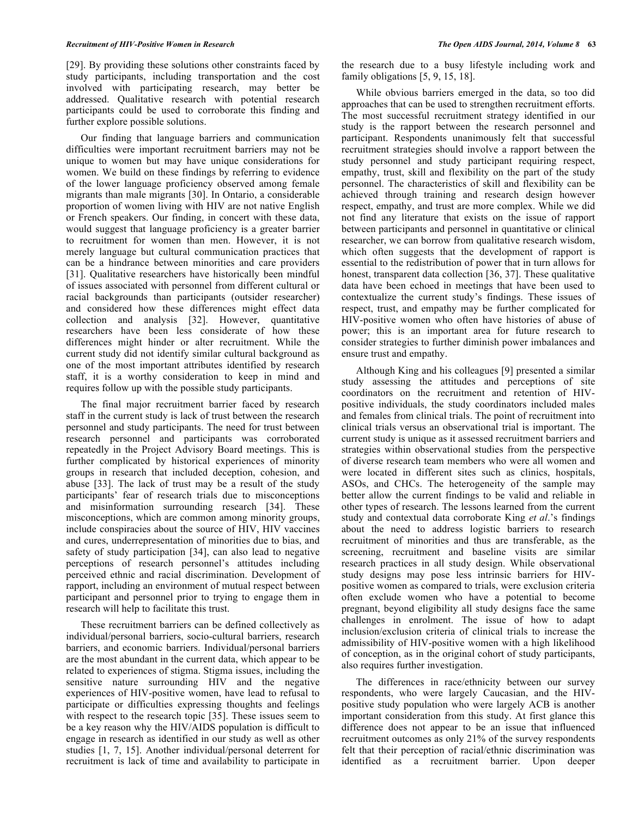#### *Recruitment of HIV-Positive Women in Research The Open AIDS Journal, 2014, Volume 8* **63**

[29]. By providing these solutions other constraints faced by study participants, including transportation and the cost involved with participating research, may better be addressed. Qualitative research with potential research participants could be used to corroborate this finding and further explore possible solutions.

Our finding that language barriers and communication difficulties were important recruitment barriers may not be unique to women but may have unique considerations for women. We build on these findings by referring to evidence of the lower language proficiency observed among female migrants than male migrants [30]. In Ontario, a considerable proportion of women living with HIV are not native English or French speakers. Our finding, in concert with these data, would suggest that language proficiency is a greater barrier to recruitment for women than men. However, it is not merely language but cultural communication practices that can be a hindrance between minorities and care providers [31]. Qualitative researchers have historically been mindful of issues associated with personnel from different cultural or racial backgrounds than participants (outsider researcher) and considered how these differences might effect data collection and analysis [32]. However, quantitative researchers have been less considerate of how these differences might hinder or alter recruitment. While the current study did not identify similar cultural background as one of the most important attributes identified by research staff, it is a worthy consideration to keep in mind and requires follow up with the possible study participants.

The final major recruitment barrier faced by research staff in the current study is lack of trust between the research personnel and study participants. The need for trust between research personnel and participants was corroborated repeatedly in the Project Advisory Board meetings. This is further complicated by historical experiences of minority groups in research that included deception, cohesion, and abuse [33]. The lack of trust may be a result of the study participants' fear of research trials due to misconceptions and misinformation surrounding research [34]. These misconceptions, which are common among minority groups, include conspiracies about the source of HIV, HIV vaccines and cures, underrepresentation of minorities due to bias, and safety of study participation [34], can also lead to negative perceptions of research personnel's attitudes including perceived ethnic and racial discrimination. Development of rapport, including an environment of mutual respect between participant and personnel prior to trying to engage them in research will help to facilitate this trust.

These recruitment barriers can be defined collectively as individual/personal barriers, socio-cultural barriers, research barriers, and economic barriers. Individual/personal barriers are the most abundant in the current data, which appear to be related to experiences of stigma. Stigma issues, including the sensitive nature surrounding HIV and the negative experiences of HIV-positive women, have lead to refusal to participate or difficulties expressing thoughts and feelings with respect to the research topic [35]. These issues seem to be a key reason why the HIV/AIDS population is difficult to engage in research as identified in our study as well as other studies [1, 7, 15]. Another individual/personal deterrent for recruitment is lack of time and availability to participate in

the research due to a busy lifestyle including work and family obligations [5, 9, 15, 18].

While obvious barriers emerged in the data, so too did approaches that can be used to strengthen recruitment efforts. The most successful recruitment strategy identified in our study is the rapport between the research personnel and participant. Respondents unanimously felt that successful recruitment strategies should involve a rapport between the study personnel and study participant requiring respect, empathy, trust, skill and flexibility on the part of the study personnel. The characteristics of skill and flexibility can be achieved through training and research design however respect, empathy, and trust are more complex. While we did not find any literature that exists on the issue of rapport between participants and personnel in quantitative or clinical researcher, we can borrow from qualitative research wisdom, which often suggests that the development of rapport is essential to the redistribution of power that in turn allows for honest, transparent data collection [36, 37]. These qualitative data have been echoed in meetings that have been used to contextualize the current study's findings. These issues of respect, trust, and empathy may be further complicated for HIV-positive women who often have histories of abuse of power; this is an important area for future research to consider strategies to further diminish power imbalances and ensure trust and empathy.

Although King and his colleagues [9] presented a similar study assessing the attitudes and perceptions of site coordinators on the recruitment and retention of HIVpositive individuals, the study coordinators included males and females from clinical trials. The point of recruitment into clinical trials versus an observational trial is important. The current study is unique as it assessed recruitment barriers and strategies within observational studies from the perspective of diverse research team members who were all women and were located in different sites such as clinics, hospitals, ASOs, and CHCs. The heterogeneity of the sample may better allow the current findings to be valid and reliable in other types of research. The lessons learned from the current study and contextual data corroborate King *et al*.'s findings about the need to address logistic barriers to research recruitment of minorities and thus are transferable, as the screening, recruitment and baseline visits are similar research practices in all study design. While observational study designs may pose less intrinsic barriers for HIVpositive women as compared to trials, were exclusion criteria often exclude women who have a potential to become pregnant, beyond eligibility all study designs face the same challenges in enrolment. The issue of how to adapt inclusion/exclusion criteria of clinical trials to increase the admissibility of HIV-positive women with a high likelihood of conception, as in the original cohort of study participants, also requires further investigation.

The differences in race/ethnicity between our survey respondents, who were largely Caucasian, and the HIVpositive study population who were largely ACB is another important consideration from this study. At first glance this difference does not appear to be an issue that influenced recruitment outcomes as only 21% of the survey respondents felt that their perception of racial/ethnic discrimination was identified as a recruitment barrier. Upon deeper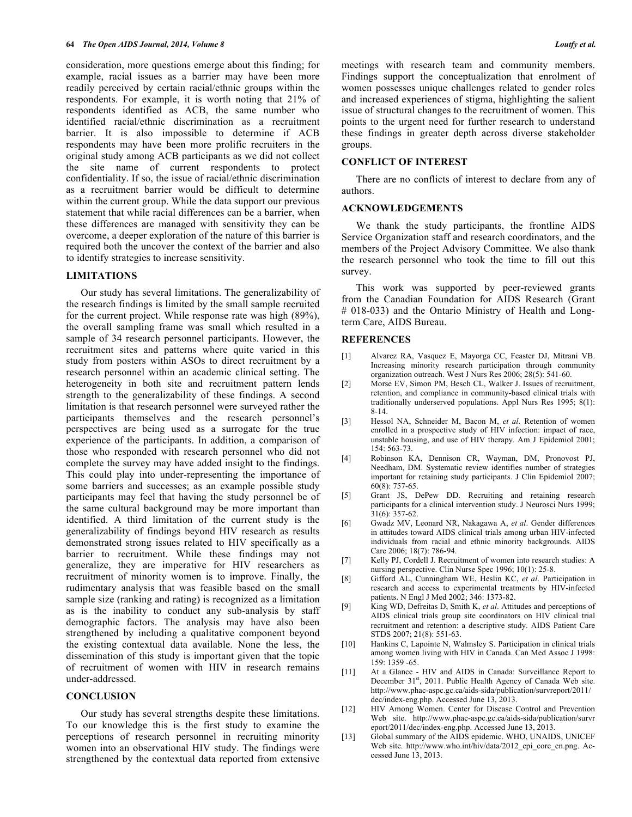consideration, more questions emerge about this finding; for example, racial issues as a barrier may have been more readily perceived by certain racial/ethnic groups within the respondents. For example, it is worth noting that 21% of respondents identified as ACB, the same number who identified racial/ethnic discrimination as a recruitment barrier. It is also impossible to determine if ACB respondents may have been more prolific recruiters in the original study among ACB participants as we did not collect the site name of current respondents to protect confidentiality. If so, the issue of racial/ethnic discrimination as a recruitment barrier would be difficult to determine within the current group. While the data support our previous statement that while racial differences can be a barrier, when these differences are managed with sensitivity they can be overcome, a deeper exploration of the nature of this barrier is required both the uncover the context of the barrier and also to identify strategies to increase sensitivity.

## **LIMITATIONS**

Our study has several limitations. The generalizability of the research findings is limited by the small sample recruited for the current project. While response rate was high (89%), the overall sampling frame was small which resulted in a sample of 34 research personnel participants. However, the recruitment sites and patterns where quite varied in this study from posters within ASOs to direct recruitment by a research personnel within an academic clinical setting. The heterogeneity in both site and recruitment pattern lends strength to the generalizability of these findings. A second limitation is that research personnel were surveyed rather the participants themselves and the research personnel's perspectives are being used as a surrogate for the true experience of the participants. In addition, a comparison of those who responded with research personnel who did not complete the survey may have added insight to the findings. This could play into under-representing the importance of some barriers and successes; as an example possible study participants may feel that having the study personnel be of the same cultural background may be more important than identified. A third limitation of the current study is the generalizability of findings beyond HIV research as results demonstrated strong issues related to HIV specifically as a barrier to recruitment. While these findings may not generalize, they are imperative for HIV researchers as recruitment of minority women is to improve. Finally, the rudimentary analysis that was feasible based on the small sample size (ranking and rating) is recognized as a limitation as is the inability to conduct any sub-analysis by staff demographic factors. The analysis may have also been strengthened by including a qualitative component beyond the existing contextual data available. None the less, the dissemination of this study is important given that the topic of recruitment of women with HIV in research remains under-addressed.

## **CONCLUSION**

Our study has several strengths despite these limitations. To our knowledge this is the first study to examine the perceptions of research personnel in recruiting minority women into an observational HIV study. The findings were strengthened by the contextual data reported from extensive

meetings with research team and community members. Findings support the conceptualization that enrolment of women possesses unique challenges related to gender roles and increased experiences of stigma, highlighting the salient issue of structural changes to the recruitment of women. This points to the urgent need for further research to understand these findings in greater depth across diverse stakeholder groups.

#### **CONFLICT OF INTEREST**

There are no conflicts of interest to declare from any of authors.

#### **ACKNOWLEDGEMENTS**

We thank the study participants, the frontline AIDS Service Organization staff and research coordinators, and the members of the Project Advisory Committee. We also thank the research personnel who took the time to fill out this survey.

This work was supported by peer-reviewed grants from the Canadian Foundation for AIDS Research (Grant # 018-033) and the Ontario Ministry of Health and Longterm Care, AIDS Bureau.

## **REFERENCES**

- [1] Alvarez RA, Vasquez E, Mayorga CC, Feaster DJ, Mitrani VB. Increasing minority research participation through community organization outreach. West J Nurs Res 2006; 28(5): 541-60.
- [2] Morse EV, Simon PM, Besch CL, Walker J. Issues of recruitment, retention, and compliance in community-based clinical trials with traditionally underserved populations. Appl Nurs Res 1995; 8(1): 8-14.
- [3] Hessol NA, Schneider M, Bacon M, *et al*. Retention of women enrolled in a prospective study of HIV infection: impact of race, unstable housing, and use of HIV therapy. Am J Epidemiol 2001; 154: 563-73.
- [4] Robinson KA, Dennison CR, Wayman, DM, Pronovost PJ, Needham, DM. Systematic review identifies number of strategies important for retaining study participants. J Clin Epidemiol 2007; 60(8): 757-65.
- [5] Grant JS, DePew DD. Recruiting and retaining research participants for a clinical intervention study. J Neurosci Nurs 1999; 31(6): 357-62.
- [6] Gwadz MV, Leonard NR, Nakagawa A, *et al*. Gender differences in attitudes toward AIDS clinical trials among urban HIV-infected individuals from racial and ethnic minority backgrounds. AIDS Care 2006; 18(7): 786-94.
- [7] Kelly PJ, Cordell J. Recruitment of women into research studies: A nursing perspective. Clin Nurse Spec 1996; 10(1): 25-8.
- [8] Gifford AL, Cunningham WE, Heslin KC, *et al*. Participation in research and access to experimental treatments by HIV-infected patients. N Engl J Med 2002; 346: 1373-82.
- [9] King WD, Defreitas D, Smith K, *et al*. Attitudes and perceptions of AIDS clinical trials group site coordinators on HIV clinical trial recruitment and retention: a descriptive study. AIDS Patient Care STDS 2007; 21(8): 551-63.
- [10] Hankins C, Lapointe N, Walmsley S. Participation in clinical trials among women living with HIV in Canada. Can Med Assoc J 1998: 159: 1359 -65.
- [11] At a Glance HIV and AIDS in Canada: Surveillance Report to December 31<sup>st</sup>, 2011. Public Health Agency of Canada Web site. http://www.phac-aspc.gc.ca/aids-sida/publication/survreport/2011/ dec/index-eng.php. Accessed June 13, 2013.
- [12] HIV Among Women. Center for Disease Control and Prevention Web site. http://www.phac-aspc.gc.ca/aids-sida/publication/survr eport/2011/dec/index-eng.php. Accessed June 13, 2013.
- [13] Global summary of the AIDS epidemic. WHO, UNAIDS, UNICEF Web site. http://www.who.int/hiv/data/2012\_epi\_core\_en.png. Accessed June 13, 2013.